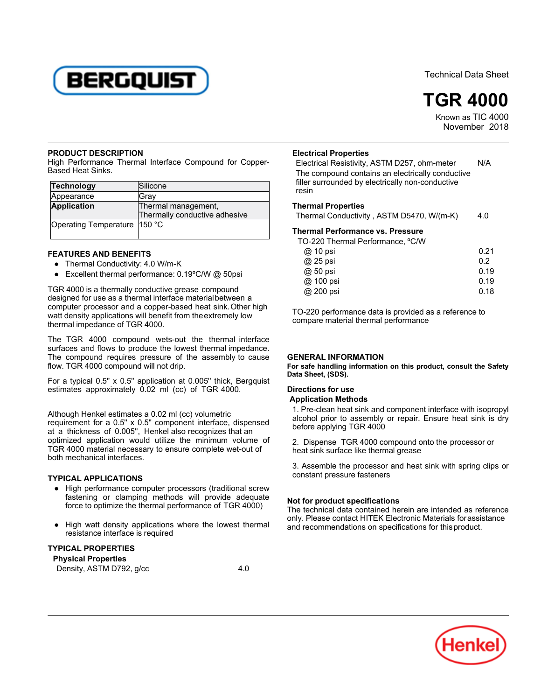

Technical Data Sheet



Known as TIC 4000 November 2018

#### **PRODUCT DESCRIPTION**

High Performance Thermal Interface Compound for Copper-Based Heat Sinks.

| Technology                     | Silicone                      |
|--------------------------------|-------------------------------|
| Appearance                     | Grav                          |
| <b>Application</b>             | Thermal management,           |
|                                | Thermally conductive adhesive |
| Operating Temperature   150 °C |                               |

# **FEATURES AND BENEFITS**

- Thermal Conductivity: 4.0 W/m-K
- Excellent thermal performance: 0.19°C/W @ 50psi

TGR 4000 is a thermally conductive grease compound designed for use as a thermal interface materialbetween a computer processor and a copper-based heat sink.Other high compater processor and a copper based near sink. Other<br>watt density applications will benefit from the extremely low wait defisity applications will be<br>thermal impedance of TGR 4000.

The TGR 4000 compound wets-out the thermal interface surfaces and flows to produce the lowest thermal impedance. The compound requires pressure of the assembly to cause flow. TGR 4000 compound will not drip.

For a typical 0.5'' x 0.5'' application at 0.005'' thick, Bergquist estimates approximately 0.02 ml (cc) of TGR 4000.

Although Henkel estimates a 0.02 ml (cc) volumetric requirement for a 0.5'' x 0.5'' component interface, dispensed at a thickness of 0.005'', Henkel also recognizes that an optimized application would utilize the minimum volume of TGR 4000 material necessary to ensure complete wet-out of both mechanical interfaces.

#### **TYPICAL APPLICATIONS**

- High performance computer processors (traditional screw fastening or clamping methods will provide adequate force to optimize the thermal performance of TGR 4000)
- High watt density applications where the lowest thermal riight watt density applications

### **TYPICAL PROPERTIES**

**Physical Properties** Density, ASTM D792, g/cc 4.0

# **Electrical Properties**

Electrical Resistivity, ASTM D257, ohm-meter N/A The compound contains an electrically conductive filler surrounded by electrically non-conductive rnur (<br>resin

#### **Thermal Properties**

Thermal Conductivity, ASTM D5470, W/(m-K) 4.0

## **Thermal Performance vs. Pressure**

TO-220 Thermal Performance, ºC/W

| @ 10 psi  | 0.21 |
|-----------|------|
| @ 25 psi  | 0.2  |
| @ 50 psi  | 0.19 |
| @ 100 psi | 0.19 |
| @ 200 psi | 0.18 |
|           |      |

TO-220 performance data is provided as a reference to compare material thermal performance

## **GENERAL INFORMATION**

**For safe handling information on this product, consult the Safety Data Sheet, (SDS).**

# **Directions for use**

# **Application Methods**

1. Pre-clean heat sink and component interface with isopropyl 1.1 Te-clear heat sink and component interface with sopropyr<br>alcohol prior to assembly or repair. Ensure heat sink is dry before applying TGR 4000

2. Dispense TGR 4000 compound onto the processor or heat sink surface like thermal grease

3. Assemble the processor and heat sink with spring clips or constant pressure fasteners

# **Not for product specifications**

The technical data contained herein are intended as reference only. Please contact HITEK Electronic Materials forassistance and recommendations on specifications for thisproduct.